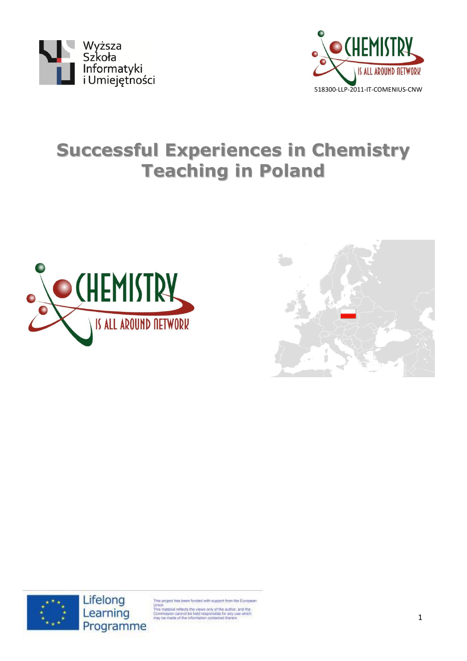



# **Successful Experiences in Chemistry Teaching in Poland**







This project has been funded with support from the European The project rats been runded with appport from the burings<br>This trapical reflects the views only of the author.<br>Commission cannot be hist responsible for any use which<br>may be made of the information contained therein.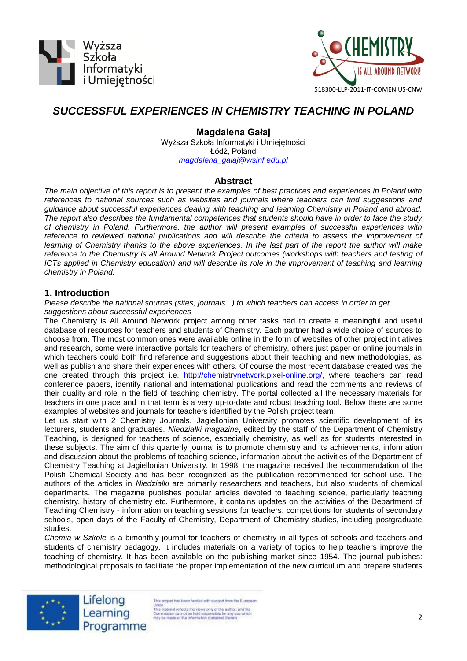



# *SUCCESSFUL EXPERIENCES IN CHEMISTRY TEACHING IN POLAND*

**Magdalena Gałaj** Wyższa Szkoła Informatyki i Umiejętności Łódź, Poland *[magdalena\\_galaj@wsinf.edu.pl](mailto:magdalena_galaj@wsinf.edu.pl)*

# **Abstract**

*The main objective of this report is to present the examples of best practices and experiences in Poland with references to national sources such as websites and journals where teachers can find suggestions and guidance about successful experiences dealing with teaching and learning Chemistry in Poland and abroad. The report also describes the fundamental competences that students should have in order to face the study of chemistry in Poland. Furthermore, the author will present examples of successful experiences with reference to reviewed national publications and will describe the criteria to assess the improvement of learning of Chemistry thanks to the above experiences. In the last part of the report the author will make reference to the Chemistry is all Around Network Project outcomes (workshops with teachers and testing of ICTs applied in Chemistry education) and will describe its role in the improvement of teaching and learning chemistry in Poland.*

# **1. Introduction**

*Please describe the national sources (sites, journals...) to which teachers can access in order to get suggestions about successful experiences*

The Chemistry is All Around Network project among other tasks had to create a meaningful and useful database of resources for teachers and students of Chemistry. Each partner had a wide choice of sources to choose from. The most common ones were available online in the form of websites of other project initiatives and research, some were interactive portals for teachers of chemistry, others just paper or online journals in which teachers could both find reference and suggestions about their teaching and new methodologies, as well as publish and share their experiences with others. Of course the most recent database created was the one created through this project i.e. [http://chemistrynetwork.pixel-online.org/,](http://chemistrynetwork.pixel-online.org/) where teachers can read conference papers, identify national and international publications and read the comments and reviews of their quality and role in the field of teaching chemistry. The portal collected all the necessary materials for teachers in one place and in that term is a very up-to-date and robust teaching tool. Below there are some examples of websites and journals for teachers identified by the Polish project team.

Let us start with 2 Chemistry Journals. Jagiellonian University promotes scientific development of its lecturers, students and graduates. *Niedziałki magazine*, edited by the staff of the Department of Chemistry Teaching, is designed for teachers of science, especially chemistry, as well as for students interested in these subjects. The aim of this quarterly journal is to promote chemistry and its achievements, information and discussion about the problems of teaching science, information about the activities of the Department of Chemistry Teaching at Jagiellonian University. In 1998, the magazine received the recommendation of the Polish Chemical Society and has been recognized as the publication recommended for school use. The authors of the articles in *Niedziałki* are primarily researchers and teachers, but also students of chemical departments. The magazine publishes popular articles devoted to teaching science, particularly teaching chemistry, history of chemistry etc. Furthermore, it contains updates on the activities of the Department of Teaching Chemistry - information on teaching sessions for teachers, competitions for students of secondary schools, open days of the Faculty of Chemistry, Department of Chemistry studies, including postgraduate studies.

*Chemia w Szkole* is a bimonthly journal for teachers of chemistry in all types of schools and teachers and students of chemistry pedagogy. It includes materials on a variety of topics to help teachers improve the teaching of chemistry. It has been available on the publishing market since 1954. The journal publishes: methodological proposals to facilitate the proper implementation of the new curriculum and prepare students



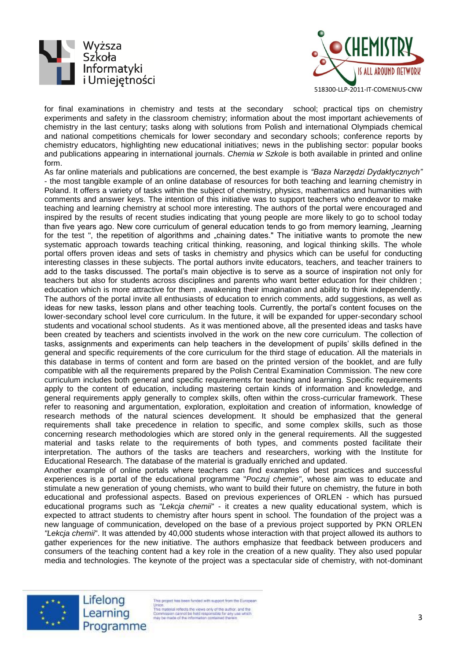



for final examinations in chemistry and tests at the secondary school; practical tips on chemistry experiments and safety in the classroom chemistry; information about the most important achievements of chemistry in the last century; tasks along with solutions from Polish and international Olympiads chemical and national competitions chemicals for lower secondary and secondary schools; conference reports by chemistry educators, highlighting new educational initiatives; news in the publishing sector: popular books and publications appearing in international journals. *Chemia w Szkole* is both available in printed and online form.

As far online materials and publications are concerned, the best example is *"Baza Narzędzi Dydaktycznych"* - the most tangible example of an online database of resources for both teaching and learning chemistry in Poland. It offers a variety of tasks within the subject of chemistry, physics, mathematics and humanities with comments and answer keys. The intention of this initiative was to support teachers who endeavor to make teaching and learning chemistry at school more interesting. The authors of the portal were encouraged and inspired by the results of recent studies indicating that young people are more likely to go to school today than five years ago. New core curriculum of general education tends to go from memory learning, "learning for the test ", the repetition of algorithms and "chaining dates." The initiative wants to promote the new systematic approach towards teaching critical thinking, reasoning, and logical thinking skills. The whole portal offers proven ideas and sets of tasks in chemistry and physics which can be useful for conducting interesting classes in these subjects. The portal authors invite educators, teachers, and teacher trainers to add to the tasks discussed. The portal's main objective is to serve as a source of inspiration not only for teachers but also for students across disciplines and parents who want better education for their children ; education which is more attractive for them , awakening their imagination and ability to think independently. The authors of the portal invite all enthusiasts of education to enrich comments, add suggestions, as well as ideas for new tasks, lesson plans and other teaching tools. Currently, the portal's content focuses on the lower-secondary school level core curriculum. In the future, it will be expanded for upper-secondary school students and vocational school students. As it was mentioned above, all the presented ideas and tasks have been created by teachers and scientists involved in the work on the new core curriculum. The collection of tasks, assignments and experiments can help teachers in the development of pupils' skills defined in the general and specific requirements of the core curriculum for the third stage of education. All the materials in this database in terms of content and form are based on the printed version of the booklet, and are fully compatible with all the requirements prepared by the Polish Central Examination Commission. The new core curriculum includes both general and specific requirements for teaching and learning. Specific requirements apply to the content of education, including mastering certain kinds of information and knowledge, and general requirements apply generally to complex skills, often within the cross-curricular framework. These refer to reasoning and argumentation, exploration, exploitation and creation of information, knowledge of research methods of the natural sciences development. It should be emphasized that the general requirements shall take precedence in relation to specific, and some complex skills, such as those concerning research methodologies which are stored only in the general requirements. All the suggested material and tasks relate to the requirements of both types, and comments posted facilitate their interpretation. The authors of the tasks are teachers and researchers, working with the Institute for Educational Research. The database of the material is gradually enriched and updated.

Another example of online portals where teachers can find examples of best practices and successful experiences is a portal of the educational programme "*Poczuj chemie"*, whose aim was to educate and stimulate a new generation of young chemists, who want to build their future on chemistry, the future in both educational and professional aspects. Based on previous experiences of ORLEN - which has pursued educational programs such as *"Lekcja chemii*" - it creates a new quality educational system, which is expected to attract students to chemistry after hours spent in school. The foundation of the project was a new language of communication, developed on the base of a previous project supported by PKN ORLEN *"Lekcja chemii*". It was attended by 40,000 students whose interaction with that project allowed its authors to gather experiences for the new initiative. The authors emphasize that feedback between producers and consumers of the teaching content had a key role in the creation of a new quality. They also used popular media and technologies. The keynote of the project was a spectacular side of chemistry, with not-dominant



Lifelong Learning Programme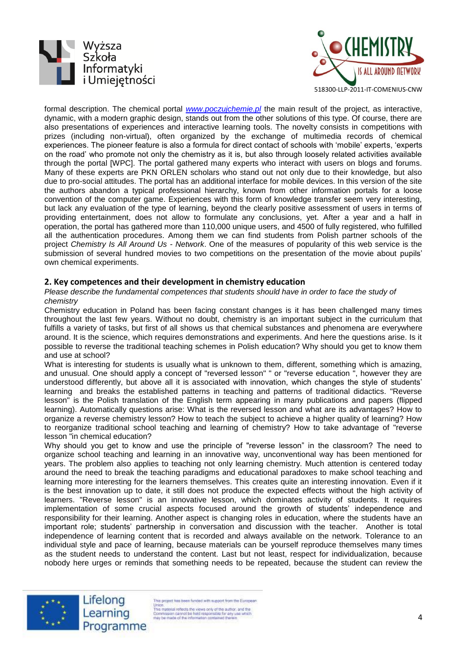



formal description. The chemical portal *[www.poczujchemie.pl](http://www.poczujchemie.pl/)* the main result of the project, as interactive, dynamic, with a modern graphic design, stands out from the other solutions of this type. Of course, there are also presentations of experiences and interactive learning tools. The novelty consists in competitions with prizes (including non-virtual), often organized by the exchange of multimedia records of chemical experiences. The pioneer feature is also a formula for direct contact of schools with 'mobile' experts, 'experts on the road' who promote not only the chemistry as it is, but also through loosely related activities available through the portal [WPC]. The portal gathered many experts who interact with users on blogs and forums. Many of these experts are PKN ORLEN scholars who stand out not only due to their knowledge, but also due to pro-social attitudes. The portal has an additional interface for mobile devices. In this version of the site the authors abandon a typical professional hierarchy, known from other information portals for a loose convention of the computer game. Experiences with this form of knowledge transfer seem very interesting, but lack any evaluation of the type of learning, beyond the clearly positive assessment of users in terms of providing entertainment, does not allow to formulate any conclusions, yet. After a year and a half in operation, the portal has gathered more than 110,000 unique users, and 4500 of fully registered, who fulfilled all the authentication procedures. Among them we can find students from Polish partner schools of the project *Chemistry Is All Around Us - Network*. One of the measures of popularity of this web service is the submission of several hundred movies to two competitions on the presentation of the movie about pupils' own chemical experiments.

#### **2. Key competences and their development in chemistry education**

*Please describe the fundamental competences that students should have in order to face the study of chemistry*

Chemistry education in Poland has been facing constant changes is it has been challenged many times throughout the last few years. Without no doubt, chemistry is an important subject in the curriculum that fulfills a variety of tasks, but first of all shows us that chemical substances and phenomena are everywhere around. It is the science, which requires demonstrations and experiments. And here the questions arise. Is it possible to reverse the traditional teaching schemes in Polish education? Why should you get to know them and use at school?

What is interesting for students is usually what is unknown to them, different, something which is amazing, and unusual. One should apply a concept of "reversed lesson" " or "reverse education ", however they are understood differently, but above all it is associated with innovation, which changes the style of students' learning and breaks the established patterns in teaching and patterns of traditional didactics. "Reverse lesson" is the Polish translation of the English term appearing in many publications and papers (flipped learning). Automatically questions arise: What is the reversed lesson and what are its advantages? How to organize a reverse chemistry lesson? How to teach the subject to achieve a higher quality of learning? How to reorganize traditional school teaching and learning of chemistry? How to take advantage of "reverse lesson "in chemical education?

Why should you get to know and use the principle of "reverse lesson" in the classroom? The need to organize school teaching and learning in an innovative way, unconventional way has been mentioned for years. The problem also applies to teaching not only learning chemistry. Much attention is centered today around the need to break the teaching paradigms and educational paradoxes to make school teaching and learning more interesting for the learners themselves. This creates quite an interesting innovation. Even if it is the best innovation up to date, it still does not produce the expected effects without the high activity of learners. "Reverse lesson" is an innovative lesson, which dominates activity of students. It requires implementation of some crucial aspects focused around the growth of students' independence and responsibility for their learning. Another aspect is changing roles in education, where the students have an important role; students' partnership in conversation and discussion with the teacher. Another is total independence of learning content that is recorded and always available on the network. Tolerance to an individual style and pace of learning, because materials can be yourself reproduce themselves many times as the student needs to understand the content. Last but not least, respect for individualization, because nobody here urges or reminds that something needs to be repeated, because the student can review the





This project has been funded with support from the European The project ass been runded with appear from the competent of the This material reflects the views only of the author. and the Commission cannot be hield responsible for any use which responsible for any use which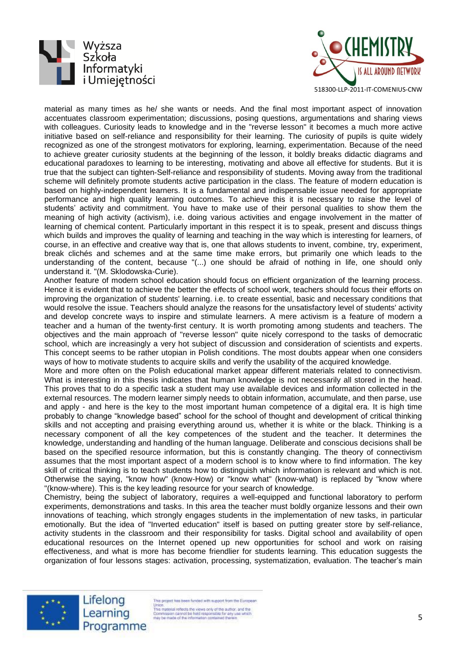



518300-LLP-2011-IT-COMENIUS-CNW

material as many times as he/ she wants or needs. And the final most important aspect of innovation accentuates classroom experimentation; discussions, posing questions, argumentations and sharing views with colleagues. Curiosity leads to knowledge and in the "reverse lesson" it becomes a much more active initiative based on self-reliance and responsibility for their learning. The curiosity of pupils is quite widely recognized as one of the strongest motivators for exploring, learning, experimentation. Because of the need to achieve greater curiosity students at the beginning of the lesson, it boldly breaks didactic diagrams and educational paradoxes to learning to be interesting, motivating and above all effective for students. But it is true that the subject can tighten-Self-reliance and responsibility of students. Moving away from the traditional scheme will definitely promote students active participation in the class. The feature of modern education is based on highly-independent learners. It is a fundamental and indispensable issue needed for appropriate performance and high quality learning outcomes. To achieve this it is necessary to raise the level of students' activity and commitment. You have to make use of their personal qualities to show them the meaning of high activity (activism), i.e. doing various activities and engage involvement in the matter of learning of chemical content. Particularly important in this respect it is to speak, present and discuss things which builds and improves the quality of learning and teaching in the way which is interesting for learners, of course, in an effective and creative way that is, one that allows students to invent, combine, try, experiment, break clichés and schemes and at the same time make errors, but primarily one which leads to the understanding of the content, because "(...) one should be afraid of nothing in life, one should only understand it. "(M. Sklodowska-Curie).

Another feature of modern school education should focus on efficient organization of the learning process. Hence it is evident that to achieve the better the effects of school work, teachers should focus their efforts on improving the organization of students' learning. i.e. to create essential, basic and necessary conditions that would resolve the issue. Teachers should analyze the reasons for the unsatisfactory level of students' activity and develop concrete ways to inspire and stimulate learners. A mere activism is a feature of modern a teacher and a human of the twenty-first century. It is worth promoting among students and teachers. The objectives and the main approach of "reverse lesson" quite nicely correspond to the tasks of democratic school, which are increasingly a very hot subject of discussion and consideration of scientists and experts. This concept seems to be rather utopian in Polish conditions. The most doubts appear when one considers ways of how to motivate students to acquire skills and verify the usability of the acquired knowledge.

More and more often on the Polish educational market appear different materials related to connectivism. What is interesting in this thesis indicates that human knowledge is not necessarily all stored in the head. This proves that to do a specific task a student may use available devices and information collected in the external resources. The modern learner simply needs to obtain information, accumulate, and then parse, use and apply - and here is the key to the most important human competence of a digital era. It is high time probably to change "knowledge based" school for the school of thought and development of critical thinking skills and not accepting and praising everything around us, whether it is white or the black. Thinking is a necessary component of all the key competences of the student and the teacher. It determines the knowledge, understanding and handling of the human language. Deliberate and conscious decisions shall be based on the specified resource information, but this is constantly changing. The theory of connectivism assumes that the most important aspect of a modern school is to know where to find information. The key skill of critical thinking is to teach students how to distinguish which information is relevant and which is not. Otherwise the saying, "know how" (know-How) or "know what" (know-what) is replaced by "know where "(know-where). This is the key leading resource for your search of knowledge.

Chemistry, being the subject of laboratory, requires a well-equipped and functional laboratory to perform experiments, demonstrations and tasks. In this area the teacher must boldly organize lessons and their own innovations of teaching, which strongly engages students in the implementation of new tasks, in particular emotionally. But the idea of "Inverted education" itself is based on putting greater store by self-reliance, activity students in the classroom and their responsibility for tasks. Digital school and availability of open educational resources on the Internet opened up new opportunities for school and work on raising effectiveness, and what is more has become friendlier for students learning. This education suggests the organization of four lessons stages: activation, processing, systematization, evaluation. The teacher's main



Lifelong Learning Programme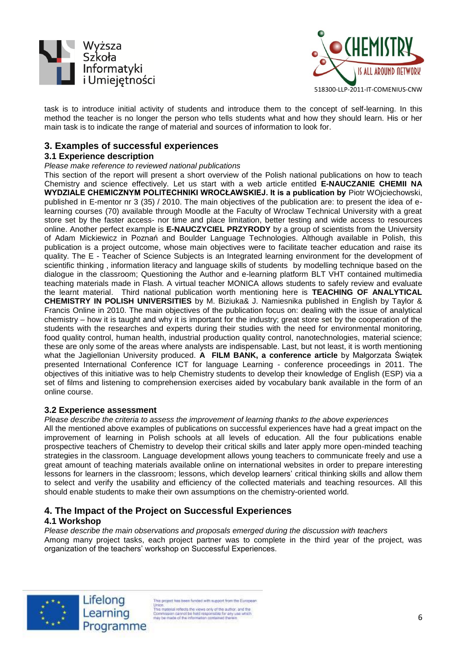



task is to introduce initial activity of students and introduce them to the concept of self-learning. In this method the teacher is no longer the person who tells students what and how they should learn. His or her main task is to indicate the range of material and sources of information to look for.

# **3. Examples of successful experiences**

### **3.1 Experience description**

#### *Please make reference to reviewed national publications*

This section of the report will present a short overview of the Polish national publications on how to teach Chemistry and science effectively. Let us start with a web article entitled **E-NAUCZANIE CHEMII NA WYDZIALE CHEMICZNYM POLITECHNIKI WROCŁAWSKIEJ. It is a publication by** Piotr WOjciechowski, published in E-mentor nr 3 (35) / 2010. The main objectives of the publication are: to present the idea of elearning courses (70) available through Moodle at the Faculty of Wroclaw Technical University with a great store set by the faster access- nor time and place limitation, better testing and wide access to resources online. Another perfect example is **E-NAUCZYCIEL PRZYRODY** by a group of scientists from the University of Adam Mickiewicz in Poznań and Boulder Language Technologies. Although available in Polish, this publication is a project outcome, whose main objectives were to facilitate teacher education and raise its quality. The E - Teacher of Science Subjects is an Integrated learning environment for the development of scientific thinking, information literacy and language skills of students by modelling technique based on the dialogue in the classroom; Questioning the Author and e-learning platform BLT VHT contained multimedia teaching materials made in Flash. A virtual teacher MONICA allows students to safely review and evaluate the learnt material. Third national publication worth mentioning here is **TEACHING OF ANALYTICAL CHEMISTRY IN POLISH UNIVERSITIES** by M. Biziuka& J. Namiesnika published in English by Taylor & Francis Online in 2010. The main objectives of the publication focus on: dealing with the issue of analytical chemistry – how it is taught and why it is important for the industry; great store set by the cooperation of the students with the researches and experts during their studies with the need for environmental monitoring, food quality control, human health, industrial production quality control, nanotechnologies, material science; these are only some of the areas where analysts are indispensable. Last, but not least, it is worth mentioning what the Jagiellonian University produced. **A FILM BANK, a conference article** by Małgorzata Świątek presented International Conference ICT for language Learning - conference proceedings in 2011. The objectives of this initiative was to help Chemistry students to develop their knowledge of English (ESP) via a set of films and listening to comprehension exercises aided by vocabulary bank available in the form of an online course.

#### **3.2 Experience assessment**

*Please describe the criteria to assess the improvement of learning thanks to the above experiences*

All the mentioned above examples of publications on successful experiences have had a great impact on the improvement of learning in Polish schools at all levels of education. All the four publications enable prospective teachers of Chemistry to develop their critical skills and later apply more open-minded teaching strategies in the classroom. Language development allows young teachers to communicate freely and use a great amount of teaching materials available online on international websites in order to prepare interesting lessons for learners in the classroom; lessons, which develop learners' critical thinking skills and allow them to select and verify the usability and efficiency of the collected materials and teaching resources. All this should enable students to make their own assumptions on the chemistry-oriented world.

# **4. The Impact of the Project on Successful Experiences**

#### **4.1 Workshop**

*Please describe the main observations and proposals emerged during the discussion with teachers*

Among many project tasks, each project partner was to complete in the third year of the project, was organization of the teachers' workshop on Successful Experiences.



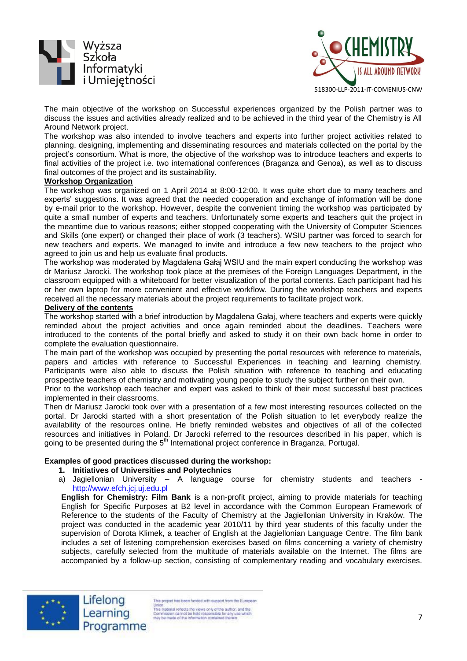



The main objective of the workshop on Successful experiences organized by the Polish partner was to discuss the issues and activities already realized and to be achieved in the third year of the Chemistry is All Around Network project.

The workshop was also intended to involve teachers and experts into further project activities related to planning, designing, implementing and disseminating resources and materials collected on the portal by the project's consortium. What is more, the objective of the workshop was to introduce teachers and experts to final activities of the project i.e. two international conferences (Braganza and Genoa), as well as to discuss final outcomes of the project and its sustainability.

#### **Workshop Organization**

The workshop was organized on 1 April 2014 at 8:00-12:00. It was quite short due to many teachers and experts' suggestions. It was agreed that the needed cooperation and exchange of information will be done by e-mail prior to the workshop. However, despite the convenient timing the workshop was participated by quite a small number of experts and teachers. Unfortunately some experts and teachers quit the project in the meantime due to various reasons; either stopped cooperating with the University of Computer Sciences and Skills (one expert) or changed their place of work (3 teachers). WSIU partner was forced to search for new teachers and experts. We managed to invite and introduce a few new teachers to the project who agreed to join us and help us evaluate final products.

The workshop was moderated by Magdalena Gałaj WSIU and the main expert conducting the workshop was dr Mariusz Jarocki. The workshop took place at the premises of the Foreign Languages Department, in the classroom equipped with a whiteboard for better visualization of the portal contents. Each participant had his or her own laptop for more convenient and effective workflow. During the workshop teachers and experts received all the necessary materials about the project requirements to facilitate project work.

#### **Delivery of the contents**

The workshop started with a brief introduction by Magdalena Gałaj, where teachers and experts were quickly reminded about the project activities and once again reminded about the deadlines. Teachers were introduced to the contents of the portal briefly and asked to study it on their own back home in order to complete the evaluation questionnaire.

The main part of the workshop was occupied by presenting the portal resources with reference to materials, papers and articles with reference to Successful Experiences in teaching and learning chemistry. Participants were also able to discuss the Polish situation with reference to teaching and educating prospective teachers of chemistry and motivating young people to study the subject further on their own.

Prior to the workshop each teacher and expert was asked to think of their most successful best practices implemented in their classrooms.

Then dr Mariusz Jarocki took over with a presentation of a few most interesting resources collected on the portal. Dr Jarocki started with a short presentation of the Polish situation to let everybody realize the availability of the resources online. He briefly reminded websites and objectives of all of the collected resources and initiatives in Poland. Dr Jarocki referred to the resources described in his paper, which is going to be presented during the 5<sup>th</sup> International project conference in Braganza, Portugal.

#### **Examples of good practices discussed during the workshop:**

#### **1. Initiatives of Universities and Polytechnics**

a) Jagiellonian University – A language course for chemistry students and teachers [http://www.efch.jcj.uj.edu.pl](http://www.efch.jcj.uj.edu.pl/)

**English for Chemistry: Film Bank** is a non-profit project, aiming to provide materials for teaching English for Specific Purposes at B2 level in accordance with the Common European Framework of Reference to the students of the Faculty of Chemistry at the Jagiellonian University in Kraków. The project was conducted in the academic year 2010/11 by third year students of this faculty under the supervision of Dorota Klimek, a teacher of English at the Jagiellonian Language Centre. The film bank includes a set of listening comprehension exercises based on films concerning a variety of chemistry subjects, carefully selected from the multitude of materials available on the Internet. The films are accompanied by a follow-up section, consisting of complementary reading and vocabulary exercises.

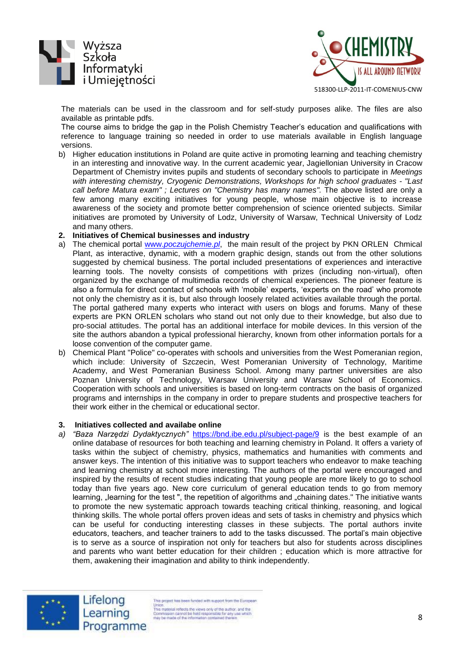



The materials can be used in the classroom and for self-study purposes alike. The files are also available as printable pdfs.

The course aims to bridge the gap in the Polish Chemistry Teacher's education and qualifications with reference to language training so needed in order to use materials available in English language versions.

- b) Higher education institutions in Poland are quite active in promoting learning and teaching chemistry in an interesting and innovative way. In the current academic year, Jagiellonian University in Cracow Department of Chemistry invites pupils and students of secondary schools to participate in *Meetings with interesting chemistry, Cryogenic Demonstrations, Workshops for high school graduates - "Last call before Matura exam" ; Lectures on "Chemistry has many names".* The above listed are only a few among many exciting initiatives for young people, whose main objective is to increase awareness of the society and promote better comprehension of science oriented subjects. Similar initiatives are promoted by University of Lodz, University of Warsaw, Technical University of Lodz and many others.
- **2. Initiatives of Chemical businesses and industry**
- a) The chemical portal www.*[poczujchemie.pl](http://www.poczujchemie.pl/)*, the main result of the project by PKN ORLEN Chmical Plant, as interactive, dynamic, with a modern graphic design, stands out from the other solutions suggested by chemical business. The portal included presentations of experiences and interactive learning tools. The novelty consists of competitions with prizes (including non-virtual), often organized by the exchange of multimedia records of chemical experiences. The pioneer feature is also a formula for direct contact of schools with 'mobile' experts, 'experts on the road' who promote not only the chemistry as it is, but also through loosely related activities available through the portal. The portal gathered many experts who interact with users on blogs and forums. Many of these experts are PKN ORLEN scholars who stand out not only due to their knowledge, but also due to pro-social attitudes. The portal has an additional interface for mobile devices. In this version of the site the authors abandon a typical professional hierarchy, known from other information portals for a loose convention of the computer game.
- b) Chemical Plant "Police" co-operates with schools and universities from the West Pomeranian region, which include: University of Szczecin, West Pomeranian University of Technology, Maritime Academy, and West Pomeranian Business School. Among many partner universities are also Poznan University of Technology, Warsaw University and Warsaw School of Economics. Cooperation with schools and universities is based on long-term contracts on the basis of organized programs and internships in the company in order to prepare students and prospective teachers for their work either in the chemical or educational sector.

#### **3. Initiatives collected and availabe online**

*a) "Baza Narzędzi Dydaktycznych"* <https://bnd.ibe.edu.pl/subject-page/9> is the best example of an online database of resources for both teaching and learning chemistry in Poland. It offers a variety of tasks within the subject of chemistry, physics, mathematics and humanities with comments and answer keys. The intention of this initiative was to support teachers who endeavor to make teaching and learning chemistry at school more interesting. The authors of the portal were encouraged and inspired by the results of recent studies indicating that young people are more likely to go to school today than five years ago. New core curriculum of general education tends to go from memory learning, "learning for the test ", the repetition of algorithms and "chaining dates." The initiative wants to promote the new systematic approach towards teaching critical thinking, reasoning, and logical thinking skills. The whole portal offers proven ideas and sets of tasks in chemistry and physics which can be useful for conducting interesting classes in these subjects. The portal authors invite educators, teachers, and teacher trainers to add to the tasks discussed. The portal's main objective is to serve as a source of inspiration not only for teachers but also for students across disciplines and parents who want better education for their children ; education which is more attractive for them, awakening their imagination and ability to think independently.



This project has been funded with support from the European The project ass been runded and support from the competent than<br>This material reflects the views only of the author. and the<br>Commission cannot be hist responsible for any use which<br>may be made of the information contained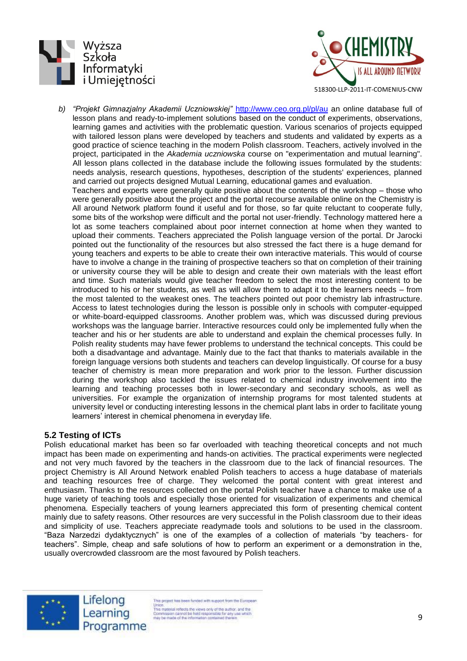



*b) "Projekt Gimnazjalny Akademii Uczniowskiej"* <http://www.ceo.org.pl/pl/au> an online database full of lesson plans and ready-to-implement solutions based on the conduct of experiments, observations, learning games and activities with the problematic question. Various scenarios of projects equipped with tailored lesson plans were developed by teachers and students and validated by experts as a good practice of science teaching in the modern Polish classroom. Teachers, actively involved in the project, participated in the *Akademia uczniowska* course on "experimentation and mutual learning". All lesson plans collected in the database include the following issues formulated by the students: needs analysis, research questions, hypotheses, description of the students' experiences, planned and carried out projects designed Mutual Learning, educational games and evaluation.

Teachers and experts were generally quite positive about the contents of the workshop – those who were generally positive about the project and the portal recourse available online on the Chemistry is All around Network platform found it useful and for those, so far quite reluctant to cooperate fully, some bits of the workshop were difficult and the portal not user-friendly. Technology mattered here a lot as some teachers complained about poor internet connection at home when they wanted to upload their comments. Teachers appreciated the Polish language version of the portal. Dr Jarocki pointed out the functionality of the resources but also stressed the fact there is a huge demand for young teachers and experts to be able to create their own interactive materials. This would of course have to involve a change in the training of prospective teachers so that on completion of their training or university course they will be able to design and create their own materials with the least effort and time. Such materials would give teacher freedom to select the most interesting content to be introduced to his or her students, as well as will allow them to adapt it to the learners needs – from the most talented to the weakest ones. The teachers pointed out poor chemistry lab infrastructure. Access to latest technologies during the lesson is possible only in schools with computer-equipped or white-board-equipped classrooms. Another problem was, which was discussed during previous workshops was the language barrier. Interactive resources could only be implemented fully when the teacher and his or her students are able to understand and explain the chemical processes fully. In Polish reality students may have fewer problems to understand the technical concepts. This could be both a disadvantage and advantage. Mainly due to the fact that thanks to materials available in the foreign language versions both students and teachers can develop linguistically. Of course for a busy teacher of chemistry is mean more preparation and work prior to the lesson. Further discussion during the workshop also tackled the issues related to chemical industry involvement into the learning and teaching processes both in lower-secondary and secondary schools, as well as universities. For example the organization of internship programs for most talented students at university level or conducting interesting lessons in the chemical plant labs in order to facilitate young learners' interest in chemical phenomena in everyday life.

# **5.2 Testing of ICTs**

Polish educational market has been so far overloaded with teaching theoretical concepts and not much impact has been made on experimenting and hands-on activities. The practical experiments were neglected and not very much favored by the teachers in the classroom due to the lack of financial resources. The project Chemistry is All Around Network enabled Polish teachers to access a huge database of materials and teaching resources free of charge. They welcomed the portal content with great interest and enthusiasm. Thanks to the resources collected on the portal Polish teacher have a chance to make use of a huge variety of teaching tools and especially those oriented for visualization of experiments and chemical phenomena. Especially teachers of young learners appreciated this form of presenting chemical content mainly due to safety reasons. Other resources are very successful in the Polish classroom due to their ideas and simplicity of use. Teachers appreciate readymade tools and solutions to be used in the classroom. "Baza Narzedzi dydaktycznych" is one of the examples of a collection of materials "by teachers- for teachers". Simple, cheap and safe solutions of how to perform an experiment or a demonstration in the, usually overcrowded classroom are the most favoured by Polish teachers.



This project has been funded with support from the European The project rate been runded and support you for author.<br>This material reflects the views only of the author. and the<br>Commission cannot be hield responsible for any use which<br>may be made of the information contained therei